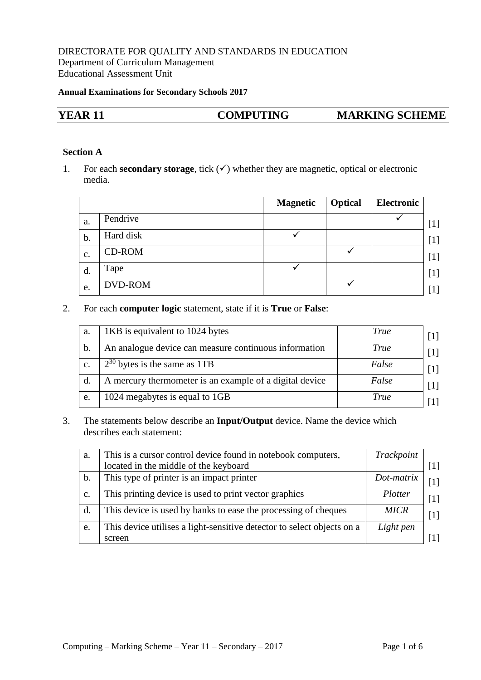## DIRECTORATE FOR QUALITY AND STANDARDS IN EDUCATION Department of Curriculum Management Educational Assessment Unit

#### **Annual Examinations for Secondary Schools 2017**

| <b>YEAR 11</b> | <b>COMPUTING</b> | <b>MARKING SCHEME</b> |
|----------------|------------------|-----------------------|
|                |                  |                       |

## **Section A**

1. For each **secondary storage**, tick  $(\checkmark)$  whether they are magnetic, optical or electronic media.

|                |               | <b>Magnetic</b> | <b>Optical</b> | Electronic |
|----------------|---------------|-----------------|----------------|------------|
| a.             | Pendrive      |                 |                |            |
| b.             | Hard disk     |                 |                |            |
| $\mathbf{c}$ . | <b>CD-ROM</b> |                 |                |            |
| d.             | Tape          |                 |                |            |
| e.             | DVD-ROM       |                 |                |            |

## 2. For each **computer logic** statement, state if it is **True** or **False**:

| a. | 1KB is equivalent to 1024 bytes                         | <b>True</b> |
|----|---------------------------------------------------------|-------------|
| b. | An analogue device can measure continuous information   | True        |
| c. | $2^{30}$ bytes is the same as 1TB                       | False       |
| d. | A mercury thermometer is an example of a digital device | False       |
| e. | 1024 megabytes is equal to 1GB                          | True        |

3. The statements below describe an **Input/Output** device. Name the device which describes each statement:

| a.             | This is a cursor control device found in notebook computers,           | Trackpoint  |                   |
|----------------|------------------------------------------------------------------------|-------------|-------------------|
|                | located in the middle of the keyboard                                  |             |                   |
| $\mathbf{b}$ . | This type of printer is an impact printer                              | Dot-matrix  |                   |
| $\mathbf{C}$ . | This printing device is used to print vector graphics                  | Plotter     | $\lceil 1 \rceil$ |
| d.             | This device is used by banks to ease the processing of cheques         | <b>MICR</b> |                   |
| e.             | This device utilises a light-sensitive detector to select objects on a | Light pen   |                   |
|                | screen                                                                 |             |                   |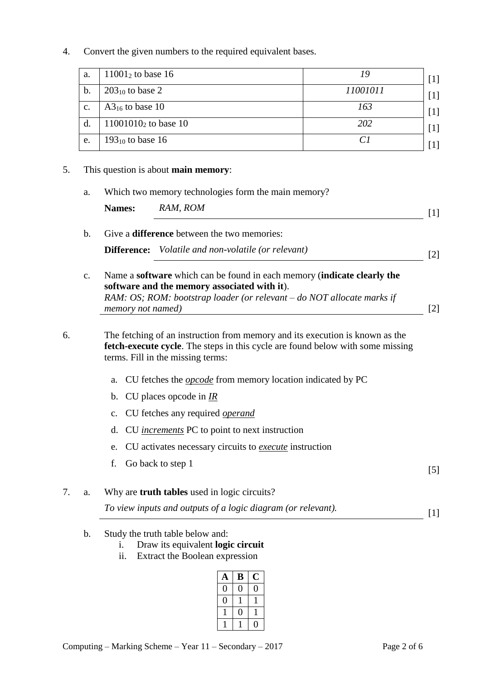4. Convert the given numbers to the required equivalent bases.

| a.             | $11001_2$ to base 16    |          |  |
|----------------|-------------------------|----------|--|
| b.             | $203_{10}$ to base 2    | 11001011 |  |
| $\mathbf{c}$ . | $A3_{16}$ to base 10    | 163      |  |
| $\mathbf{d}$   | $11001010_2$ to base 10 | 202      |  |
| e.             | $193_{10}$ to base 16   |          |  |

## 5. This question is about **main memory**:

a. Which two memory technologies form the main memory?

| <b>Names:</b> | RAM, ROM                                              |  |
|---------------|-------------------------------------------------------|--|
|               | b. Give a <b>difference</b> between the two memories: |  |

**Difference:** *Volatile and non-volatile (or relevant)* [2]

c. Name a **software** which can be found in each memory (**indicate clearly the software and the memory associated with it**). *RAM: OS; ROM: bootstrap loader (or relevant – do NOT allocate marks if memory not named)* [2]

6. The fetching of an instruction from memory and its execution is known as the **fetch-execute cycle**. The steps in this cycle are found below with some missing terms. Fill in the missing terms:

- a. CU fetches the *opcode* from memory location indicated by PC
- b. CU places opcode in *IR*
- c. CU fetches any required *operand*
- d. CU *increments* PC to point to next instruction
- e. CU activates necessary circuits to *execute* instruction
- f. Go back to step 1  $[5]$
- 7. a. Why are **truth tables** used in logic circuits?

*To view inputs and outputs of a logic diagram (or relevant).* [1]

- b. Study the truth table below and:
	- i. Draw its equivalent **logic circuit**
	- ii. Extract the Boolean expression

| Ą | B |  |
|---|---|--|
|   |   |  |
|   |   |  |
|   |   |  |
|   |   |  |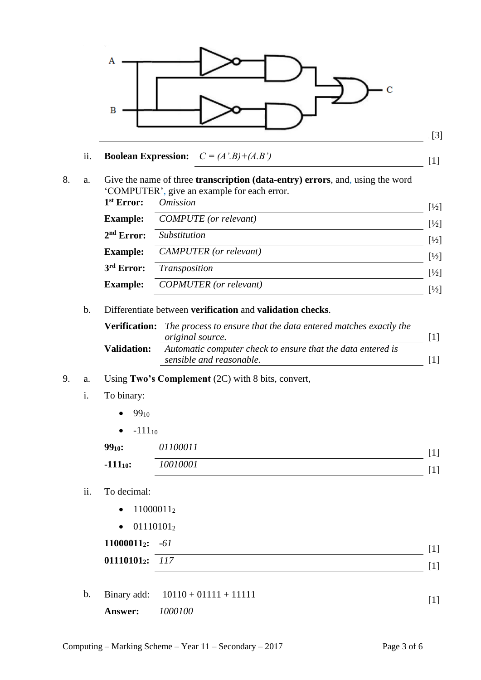

# ii. **Boolean Expression:**  $C = (A'.B) + (A.B')$  [1]

8. a. Give the name of three **transcription (data-entry) errors**, and, using the word 'COMPUTER', give an example for each error.

| $1st$ Error:    | <i>Omission</i>               | $\left[\frac{1}{2}\right]$ |
|-----------------|-------------------------------|----------------------------|
| <b>Example:</b> | <b>COMPUTE</b> (or relevant)  | $\left[\frac{1}{2}\right]$ |
| $2nd$ Error:    | <i>Substitution</i>           | $\left[\frac{1}{2}\right]$ |
| <b>Example:</b> | <b>CAMPUTER</b> (or relevant) | $\left[\frac{1}{2}\right]$ |
| 3rd Error:      | Transposition                 | $\left[\frac{1}{2}\right]$ |
| <b>Example:</b> | <b>COPMUTER</b> (or relevant) | $[1/2]$                    |

## b. Differentiate between **verification** and **validation checks**.

|                    | <b>Verification:</b> The process to ensure that the data entered matches exactly the<br><i>original source.</i> |  |
|--------------------|-----------------------------------------------------------------------------------------------------------------|--|
| <b>Validation:</b> | Automatic computer check to ensure that the data entered is<br>sensible and reasonable.                         |  |

## 9. a. Using **Two's Complement** (2C) with 8 bits, convert,

## i. To binary:

- $99_{10}$
- $-111_{10}$

| 9910:         | 01100011 | I 1     |
|---------------|----------|---------|
| $-111_{10}$ : | 10010001 | $\perp$ |

## ii. To decimal:

- $\bullet$  11000011<sub>2</sub>
- $\bullet$  01110101<sub>2</sub>

| $11000011_2$ : -61 |  |
|--------------------|--|
| $01110101_2$ : 117 |  |

b. Binary add:  $10110 + 01111 + 11111$  [1]

**Answer:** *1000100*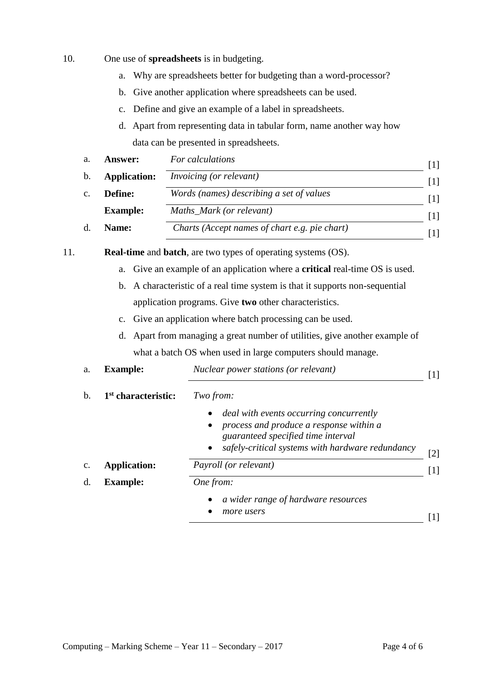- 10. One use of **spreadsheets** is in budgeting.
	- a. Why are spreadsheets better for budgeting than a word-processor?
	- b. Give another application where spreadsheets can be used.
	- c. Define and give an example of a label in spreadsheets.
	- d. Apart from representing data in tabular form, name another way how data can be presented in spreadsheets.

| a.             | Answer:             | For calculations                              |  |
|----------------|---------------------|-----------------------------------------------|--|
| b.             | <b>Application:</b> | <i>Invoicing (or relevant)</i>                |  |
| $\mathbf{c}$ . | Define:             | Words (names) describing a set of values      |  |
|                | <b>Example:</b>     | Maths_Mark (or relevant)                      |  |
|                | Name:               | Charts (Accept names of chart e.g. pie chart) |  |

- 11. **Real-time** and **batch**, are two types of operating systems (OS).
	- a. Give an example of an application where a **critical** real-time OS is used.
	- b. A characteristic of a real time system is that it supports non-sequential application programs. Give **two** other characteristics.
	- c. Give an application where batch processing can be used.
	- d. Apart from managing a great number of utilities, give another example of what a batch OS when used in large computers should manage.

| a. | <b>Example:</b>                 | Nuclear power stations (or relevant)                                                                                                                                                             | Ш                 |
|----|---------------------------------|--------------------------------------------------------------------------------------------------------------------------------------------------------------------------------------------------|-------------------|
| b. | 1 <sup>st</sup> characteristic: | Two from:                                                                                                                                                                                        |                   |
|    |                                 | <i>deal with events occurring concurrently</i><br>process and produce a response within a<br>guaranteed specified time interval<br>safely-critical systems with hardware redundancy<br>$\bullet$ | $[2]$             |
| c. | <b>Application:</b>             | Payroll (or relevant)                                                                                                                                                                            | $\lceil 1 \rceil$ |
| d. | <b>Example:</b>                 | One from:                                                                                                                                                                                        |                   |
|    |                                 | a wider range of hardware resources<br>more users                                                                                                                                                |                   |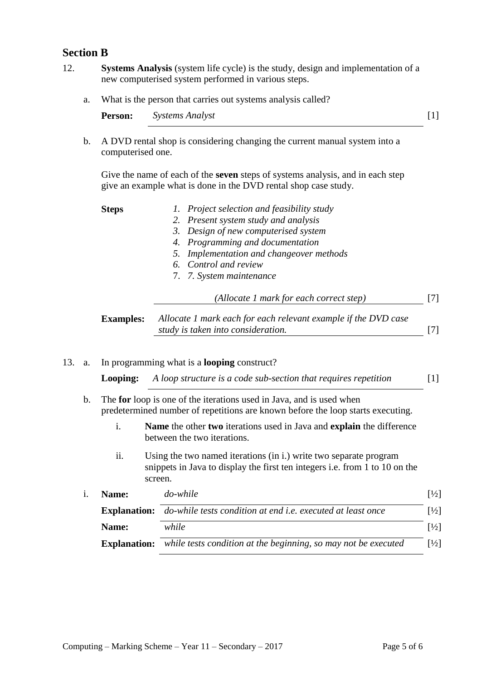## **Section B**

- 12. **Systems Analysis** (system life cycle) is the study, design and implementation of a new computerised system performed in various steps.
	- a. What is the person that carries out systems analysis called?

**Person:** *Systems Analyst* [1]

b. A DVD rental shop is considering changing the current manual system into a computerised one.

Give the name of each of the **seven** steps of systems analysis, and in each step give an example what is done in the DVD rental shop case study.

| <b>Steps</b>     | 1. Project selection and feasibility study                     |  |
|------------------|----------------------------------------------------------------|--|
|                  | 2. Present system study and analysis                           |  |
|                  | 3. Design of new computerised system                           |  |
|                  | 4. Programming and documentation                               |  |
|                  | 5. Implementation and changeover methods                       |  |
|                  | 6. Control and review                                          |  |
|                  | 7. 7. System maintenance                                       |  |
|                  | (Allocate 1 mark for each correct step)                        |  |
| <b>Examples:</b> | Allocate 1 mark each for each relevant example if the DVD case |  |
|                  | study is taken into consideration.                             |  |

13. a. In programming what is a **looping** construct?

**Looping:** *A loop structure is a code sub-section that requires repetition* [1]

- b. The **for** loop is one of the iterations used in Java, and is used when predetermined number of repetitions are known before the loop starts executing.
	- i. **Name** the other **two** iterations used in Java and **explain** the difference between the two iterations.
	- ii. Using the two named iterations (in i.) write two separate program snippets in Java to display the first ten integers i.e. from 1 to 10 on the screen.

| Name:               | do-while                                                           | $\frac{1}{2}$               |
|---------------------|--------------------------------------------------------------------|-----------------------------|
| <b>Explanation:</b> | do-while tests condition at end <i>i.e.</i> executed at least once | $\left[\frac{1}{2}\right]$  |
| Name:               | while                                                              | $\lceil \frac{1}{2} \rceil$ |
| <b>Explanation:</b> | while tests condition at the beginning, so may not be executed     | $\left[\frac{1}{2}\right]$  |